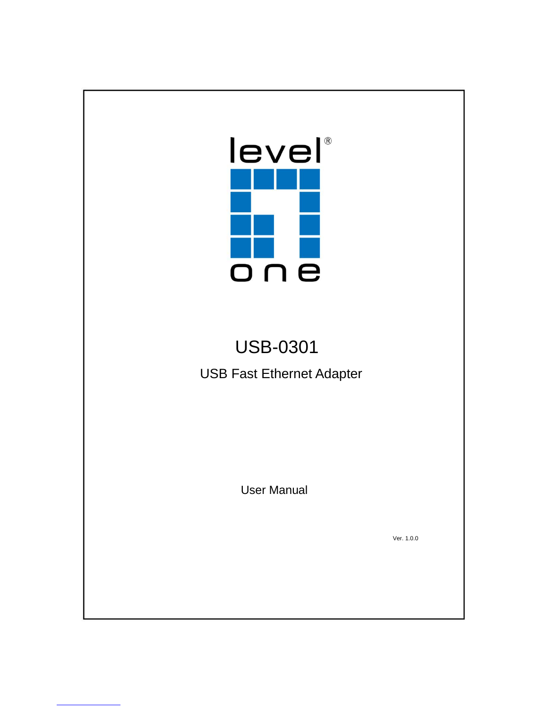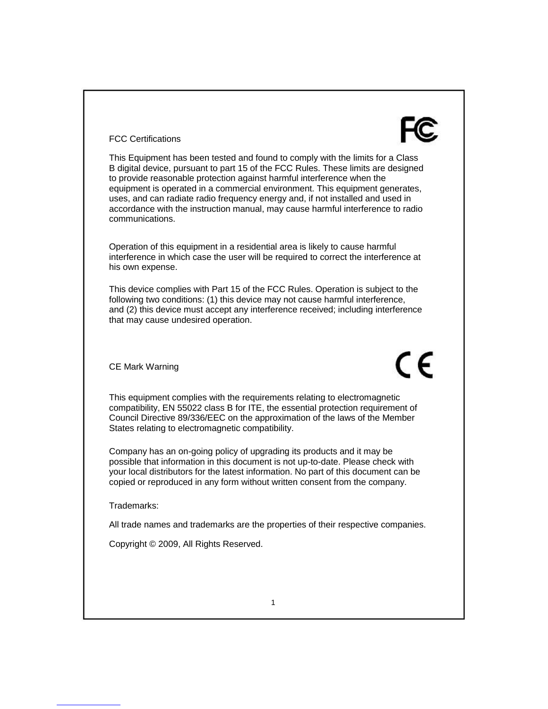#### FCC Certifications

This Equipment has been tested and found to comply with the limits for a Class B digital device, pursuant to part 15 of the FCC Rules. These limits are designed to provide reasonable protection against harmful interference when the equipment is operated in a commercial environment. This equipment generates, uses, and can radiate radio frequency energy and, if not installed and used in accordance with the instruction manual, may cause harmful interference to radio communications.

Operation of this equipment in a residential area is likely to cause harmful interference in which case the user will be required to correct the interference at his own expense.

This device complies with Part 15 of the FCC Rules. Operation is subject to the following two conditions: (1) this device may not cause harmful interference, and (2) this device must accept any interference received; including interference that may cause undesired operation.

CE Mark Warning

CE

This equipment complies with the requirements relating to electromagnetic compatibility, EN 55022 class B for ITE, the essential protection requirement of Council Directive 89/336/EEC on the approximation of the laws of the Member States relating to electromagnetic compatibility.

Company has an on-going policy of upgrading its products and it may be possible that information in this document is not up-to-date. Please check with your local distributors for the latest information. No part of this document can be copied or reproduced in any form without written consent from the company.

Trademarks:

All trade names and trademarks are the properties of their respective companies.

Copyright © 2009, All Rights Reserved.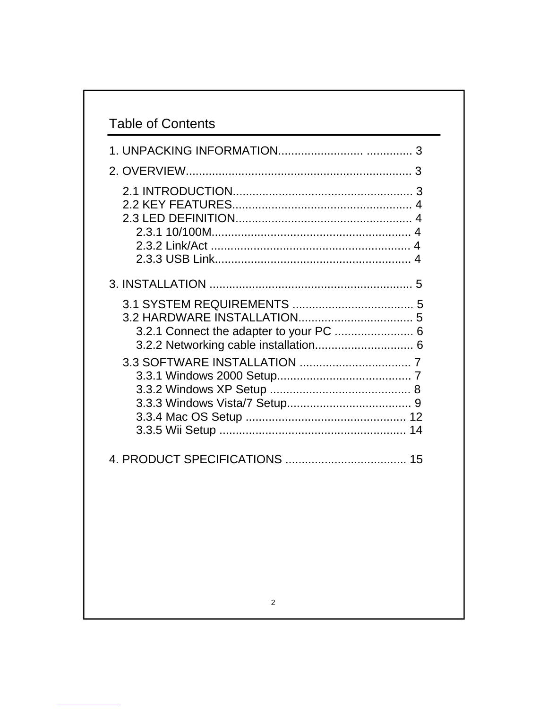|  | 3.2.1 Connect the adapter to your PC  6<br>3.2.2 Networking cable installation 6 |  |
|--|----------------------------------------------------------------------------------|--|
|  |                                                                                  |  |
|  |                                                                                  |  |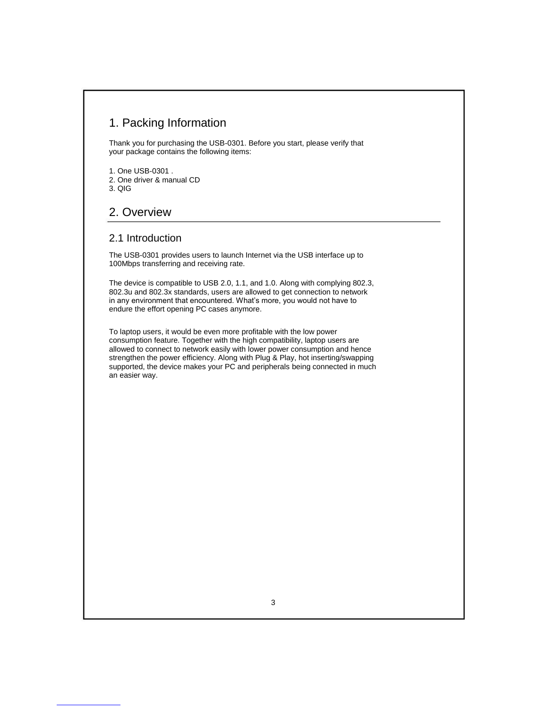### 1. Packing Information

Thank you for purchasing the USB-0301. Before you start, please verify that your package contains the following items:

1. One USB-0301 . 2. One driver & manual CD 3. QIG

## 2. Overview

#### 2.1 Introduction

The USB-0301 provides users to launch Internet via the USB interface up to 100Mbps transferring and receiving rate.

The device is compatible to USB 2.0, 1.1, and 1.0. Along with complying 802.3, 802.3u and 802.3x standards, users are allowed to get connection to network in any environment that encountered. What's more, you would not have to endure the effort opening PC cases anymore.

To laptop users, it would be even more profitable with the low power consumption feature. Together with the high compatibility, laptop users are allowed to connect to network easily with lower power consumption and hence strengthen the power efficiency. Along with Plug & Play, hot inserting/swapping supported, the device makes your PC and peripherals being connected in much an easier way.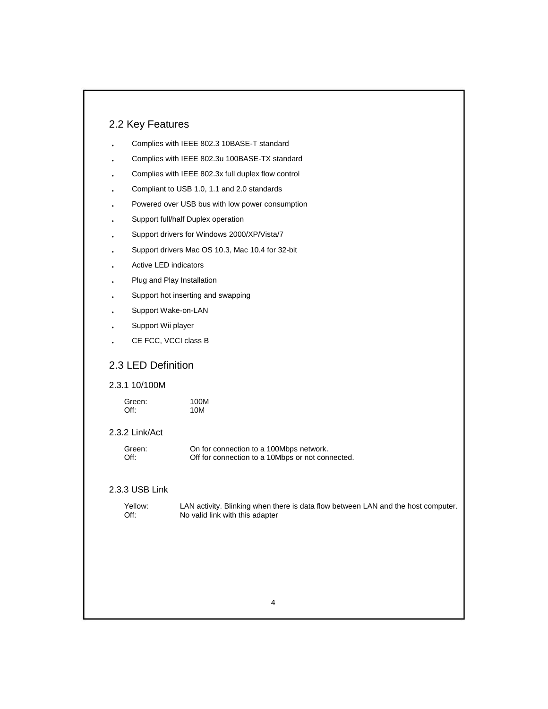### 2.2 Key Features

| Complies with IEEE 802.3 10BASE-T standard    |
|-----------------------------------------------|
| Complies with IEEE 802.3u 100BASE-TX standard |

- ‧ Complies with IEEE 802.3x full duplex flow control
- ‧ Compliant to USB 1.0, 1.1 and 2.0 standards
- ‧ Powered over USB bus with low power consumption
- ‧ Support full/half Duplex operation
- ‧ Support drivers for Windows 2000/XP/Vista/7
- ‧ Support drivers Mac OS 10.3, Mac 10.4 for 32-bit
- $\ddot{\phantom{0}}$ Active LED indicators
- ‧ Plug and Play Installation
- ‧ Support hot inserting and swapping
- ‧ Support Wake-on-LAN
- ‧ Support Wii player
- $\ddot{\phantom{0}}$ CE FCC, VCCI class B

#### 2.3 LED Definition

#### 2.3.1 10/100M

| Green:  | 100M |
|---------|------|
| $Off$ : | 10M  |

#### 2.3.2 Link/Act

| Green: | On for connection to a 100Mbps network.          |
|--------|--------------------------------------------------|
| Off:   | Off for connection to a 10Mbps or not connected. |

#### 2.3.3 USB Link

| Yellow: |  |
|---------|--|
| $Off$ : |  |

LAN activity. Blinking when there is data flow between LAN and the host computer. No valid link with this adapter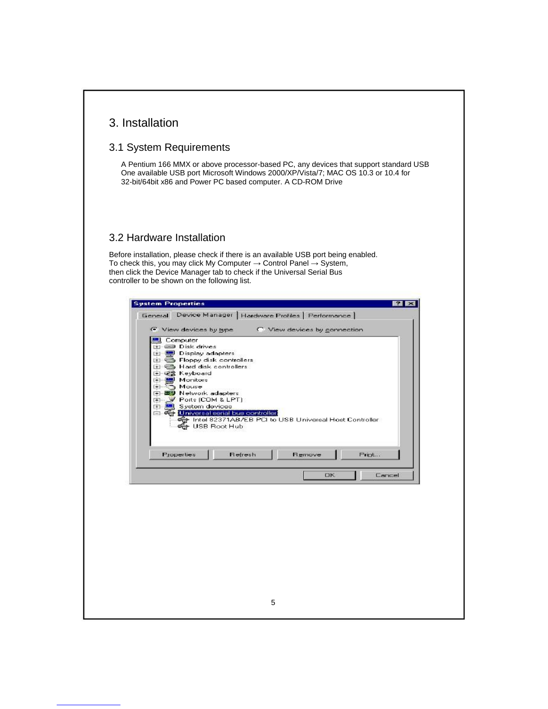| 3. Installation |  |
|-----------------|--|
|-----------------|--|

### 3.1 System Requirements

A Pentium 166 MMX or above processor-based PC, any devices that support standard USB One available USB port Microsoft Windows 2000/XP/Vista/7; MAC OS 10.3 or 10.4 for 32-bit/64bit x86 and Power PC based computer. A CD-ROM Drive

#### 3.2 Hardware Installation

Before installation, please check if there is an available USB port being enabled. To check this, you may click My Computer  $\rightarrow$  Control Panel  $\rightarrow$  System, then click the Device Manager tab to check if the Universal Serial Bus controller to be shown on the following list.

| C. View devices by connection<br>C View devices by type<br>Computer<br><b>ED Disk drives</b><br>F<br>Display adapters<br>$+1$<br>Floppy disk controllers<br>$+$<br>Hard disk controllers<br>FF.<br>由 硬含 Keyboard<br>Monitors<br>$+1$<br>Mouse<br>$+$<br>图 Network adapters<br>$\overline{+}$<br><b>E- V</b> Ports (COM & LPT)<br>System devices<br><b>The Second</b><br>中<br><b>Enversalserial bus controller</b><br>The 82371AB/EB PCI to USB Universal Host Controller<br><del>er</del> USB Root Hub<br>Properties<br>Refresh<br><b>Remove</b><br>Print<br>Cancel<br>OК |
|---------------------------------------------------------------------------------------------------------------------------------------------------------------------------------------------------------------------------------------------------------------------------------------------------------------------------------------------------------------------------------------------------------------------------------------------------------------------------------------------------------------------------------------------------------------------------|
|                                                                                                                                                                                                                                                                                                                                                                                                                                                                                                                                                                           |
|                                                                                                                                                                                                                                                                                                                                                                                                                                                                                                                                                                           |
|                                                                                                                                                                                                                                                                                                                                                                                                                                                                                                                                                                           |
|                                                                                                                                                                                                                                                                                                                                                                                                                                                                                                                                                                           |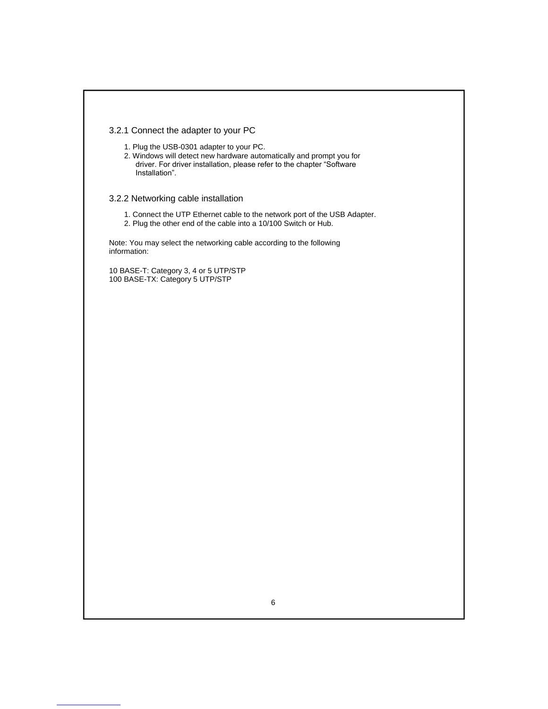#### 3.2.1 Connect the adapter to your PC

1. Plug the USB-0301 adapter to your PC.

2. Windows will detect new hardware automatically and prompt you for driver. For driver installation, please refer to the chapter "Software Installation".

#### 3.2.2 Networking cable installation

- 1. Connect the UTP Ethernet cable to the network port of the USB Adapter.
- 2. Plug the other end of the cable into a 10/100 Switch or Hub.

Note: You may select the networking cable according to the following information:

10 BASE-T: Category 3, 4 or 5 UTP/STP 100 BASE-TX: Category 5 UTP/STP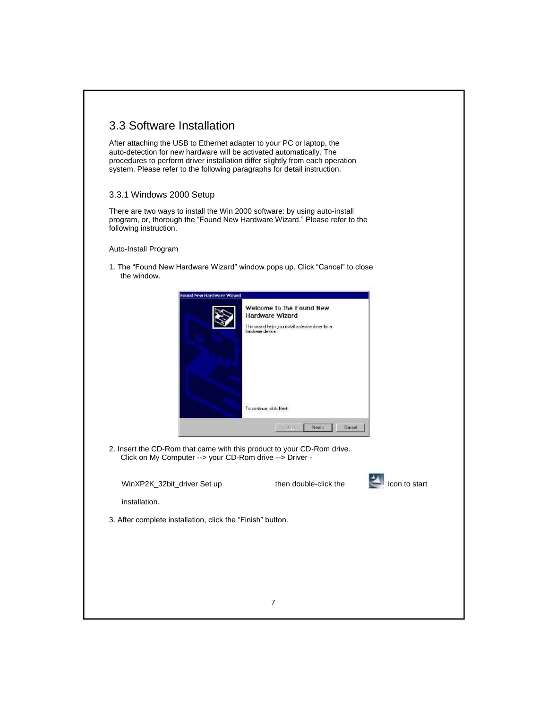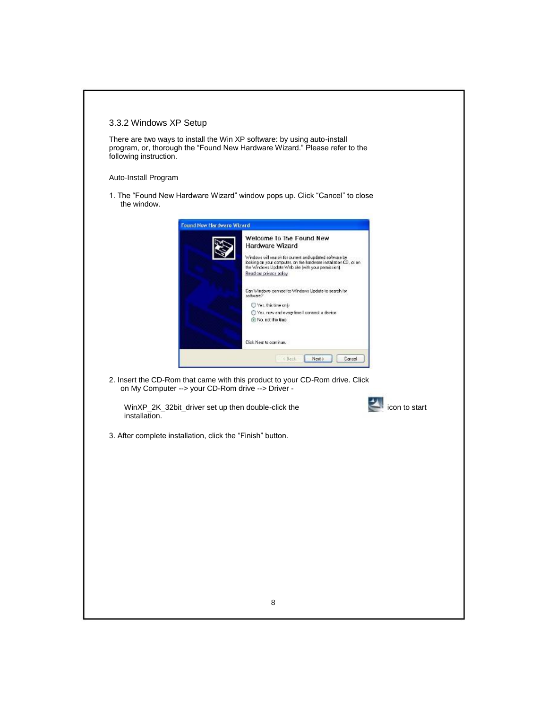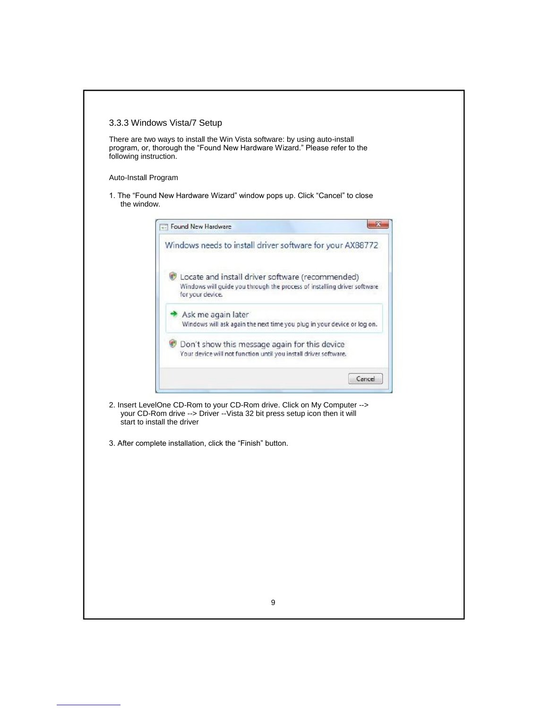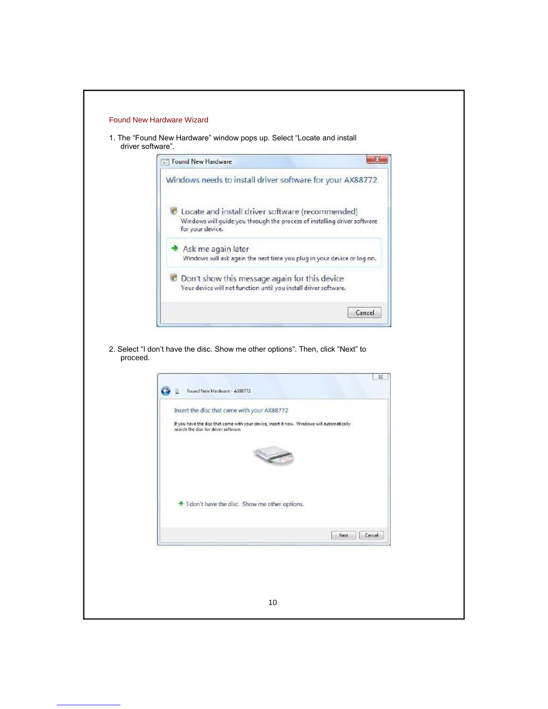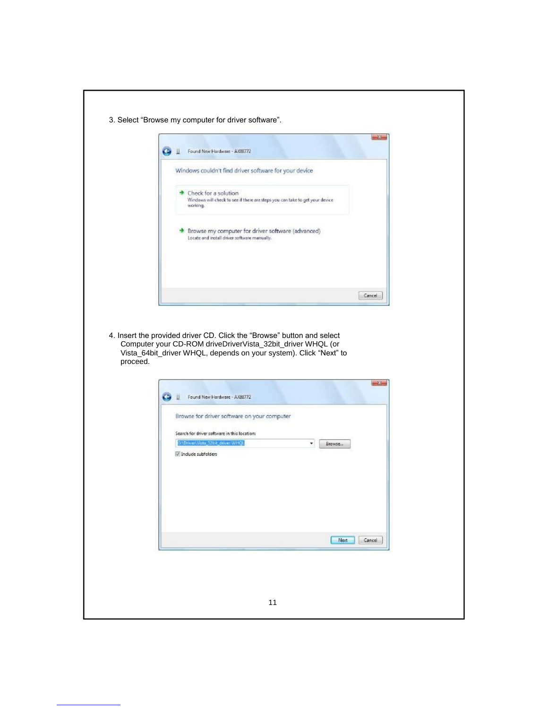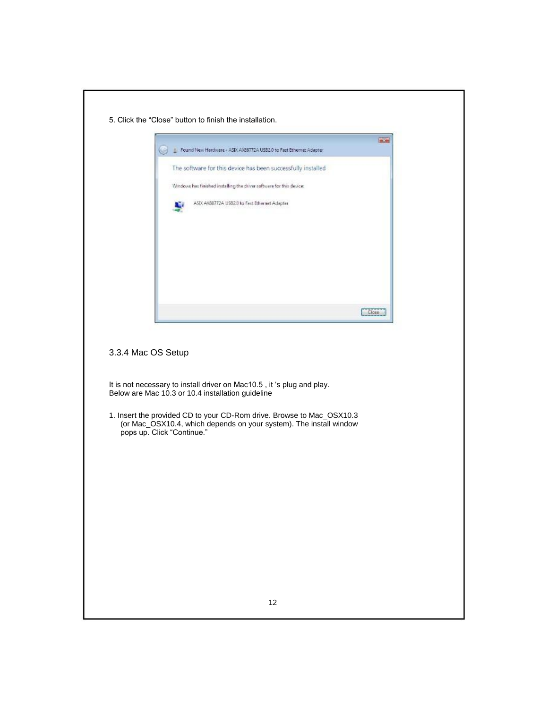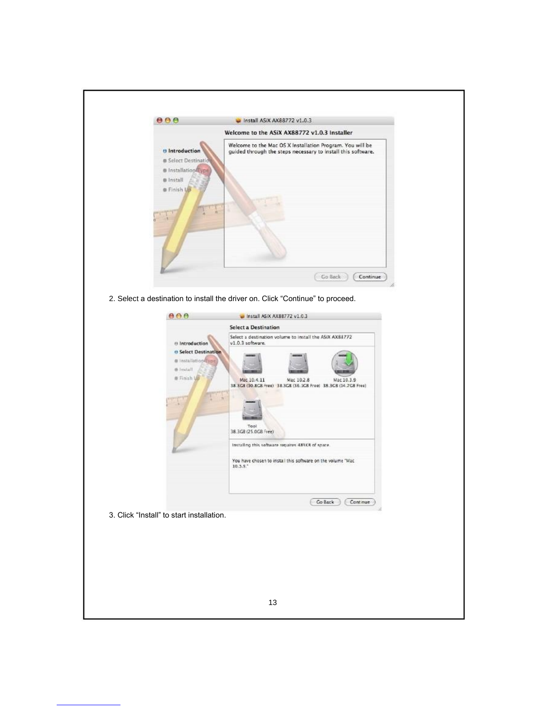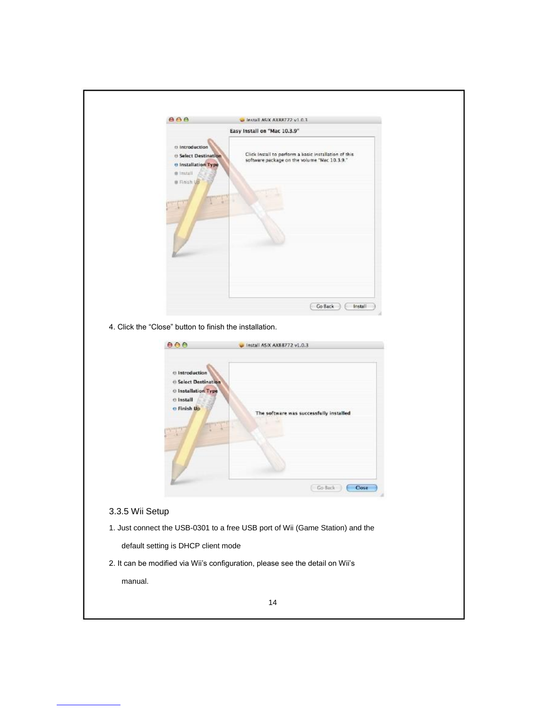